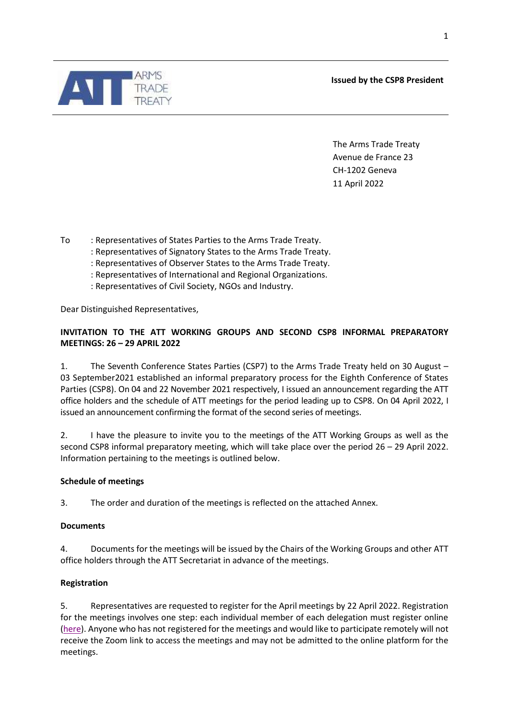**Issued by the CSP8 President**



The Arms Trade Treaty Avenue de France 23 CH-1202 Geneva 11 April 2022

To : Representatives of States Parties to the Arms Trade Treaty.

- : Representatives of Signatory States to the Arms Trade Treaty.
- : Representatives of Observer States to the Arms Trade Treaty.
- : Representatives of International and Regional Organizations.
- : Representatives of Civil Society, NGOs and Industry.

Dear Distinguished Representatives,

# **INVITATION TO THE ATT WORKING GROUPS AND SECOND CSP8 INFORMAL PREPARATORY MEETINGS: 26 – 29 APRIL 2022**

1. The Seventh Conference States Parties (CSP7) to the Arms Trade Treaty held on 30 August – 03 September2021 established an informal preparatory process for the Eighth Conference of States Parties (CSP8). On 04 and 22 November 2021 respectively, I issued an announcement regarding the ATT office holders and the schedule of ATT meetings for the period leading up to CSP8. On 04 April 2022, I issued an announcement confirming the format of the second series of meetings.

2. I have the pleasure to invite you to the meetings of the ATT Working Groups as well as the second CSP8 informal preparatory meeting, which will take place over the period 26 – 29 April 2022. Information pertaining to the meetings is outlined below.

### **Schedule of meetings**

3. The order and duration of the meetings is reflected on the attached Annex.

### **Documents**

4. Documents for the meetings will be issued by the Chairs of the Working Groups and other ATT office holders through the ATT Secretariat in advance of the meetings.

## **Registration**

5. Representatives are requested to register for the April meetings by 22 April 2022. Registration for the meetings involves one step: each individual member of each delegation must register online [\(here\)](https://www.thearmstradetreaty.org/online-registration-february-meetings?templateId=1595746). Anyone who has not registered for the meetings and would like to participate remotely will not receive the Zoom link to access the meetings and may not be admitted to the online platform for the meetings.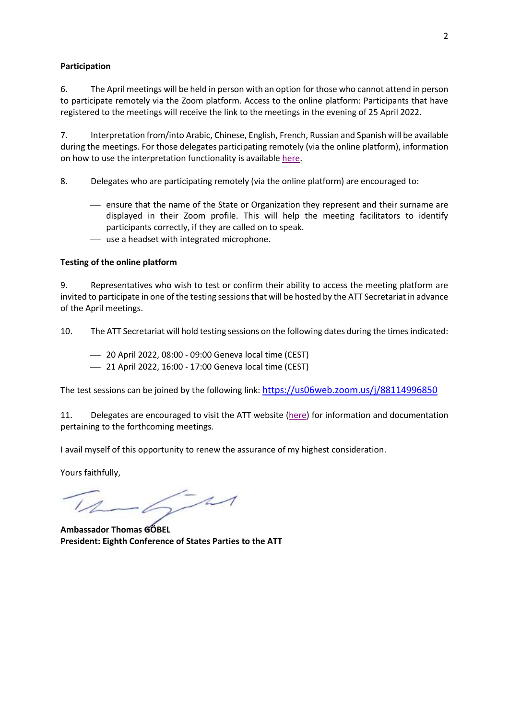### **Participation**

6. The April meetings will be held in person with an option for those who cannot attend in person to participate remotely via the Zoom platform. Access to the online platform: Participants that have registered to the meetings will receive the link to the meetings in the evening of 25 April 2022.

7. Interpretation from/into Arabic, Chinese, English, French, Russian and Spanish will be available during the meetings. For those delegates participating remotely (via the online platform), information on how to use the interpretation functionality is available [here.](https://www.thearmstradetreaty.org/hyper-images/file/Interpretation/Interpretation.pdf)

8. Delegates who are participating remotely (via the online platform) are encouraged to:

- ensure that the name of the State or Organization they represent and their surname are displayed in their Zoom profile. This will help the meeting facilitators to identify participants correctly, if they are called on to speak.
- use a headset with integrated microphone.

### **Testing of the online platform**

9. Representatives who wish to test or confirm their ability to access the meeting platform are invited to participate in one of the testing sessions that will be hosted by the ATT Secretariat in advance of the April meetings.

10. The ATT Secretariat will hold testing sessions on the following dates during the times indicated:

- 20 April 2022, 08:00 09:00 Geneva local time (CEST)
- 21 April 2022, 16:00 17:00 Geneva local time (CEST)

The test sessions can be joined by the following link: <https://us06web.zoom.us/j/88114996850>

11. Delegates are encouraged to visit the ATT website [\(here\)](https://www.thearmstradetreaty.org/CSP8-2nd-working-group-and-preparatory-meeting) for information and documentation pertaining to the forthcoming meetings.

I avail myself of this opportunity to renew the assurance of my highest consideration.

Yours faithfully,

 $-6 - 11$ 

**Ambassador Thomas GÖBEL President: Eighth Conference of States Parties to the ATT**